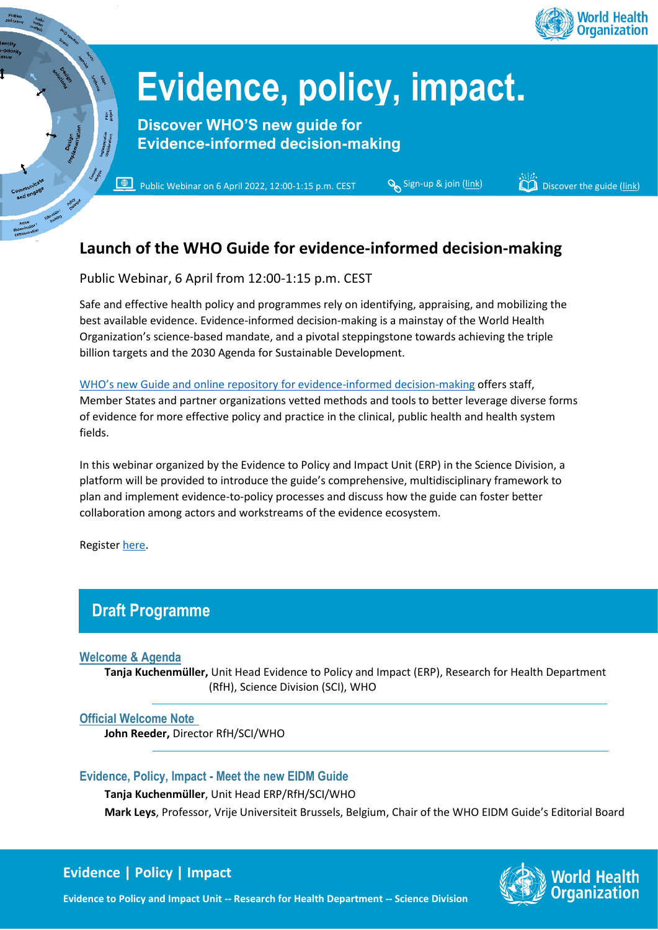

# **Evidence, policy, impact.**

**Discover WHO'S new guide for Evidence-informed decision-making**

 $\blacksquare$ Public Webinar on 6 April 2022, 12:00-1:15 p.m. CE[S](https://who.zoom.us/webinar/register/WN_eTULoD6GRESCYXTQVdr2Fw)T  $\mathcal{S}_s$  Sign-up & join [\(link\)](https://apps.who.int/iris/bitstream/handle/10665/350994/9789240039872-eng.pdf?sequence=1&isAllowed=y) Discover the guide (link)

## **Launch of the WHO Guide for evidence-informed decision-making**

Public Webinar, 6 April from 12:00-1:15 p.m. CEST

Safe and effective health policy and programmes rely on identifying, appraising, and mobilizing the best available evidence. Evidence-informed decision-making is a mainstay of the World Health Organization's science-based mandate, and a pivotal steppingstone towards achieving the triple billion targets and the 2030 Agenda for Sustainable Development.

WHO's new Guide and online [repository for evidence-informed decision-making](https://apps.who.int/iris/bitstream/handle/10665/350994/9789240039872-eng.pdf?sequence=1&isAllowed=y) offers staff, Member States and partner organizations vetted methods and tools to better leverage diverse forms of evidence for more effective policy and practice in the clinical, public health and health system fields.

In this webinar organized by the Evidence to Policy and Impact Unit (ERP) in the Science Division, a platform will be provided to introduce the guide's comprehensive, multidisciplinary framework to plan and implement evidence-to-policy processes and discuss how the guide can foster better collaboration among actors and workstreams of the evidence ecosystem.

Register [here.](https://who.zoom.us/webinar/register/WN_eTULoD6GRESCYXTQVdr2Fw)

## **Draft Programme**

#### **Welcome & Agenda**

**Tanja Kuchenmüller,** Unit Head Evidence to Policy and Impact (ERP), Research for Health Department (RfH), Science Division (SCI), WHO

#### **Official Welcome Note**

**John Reeder,** Director RfH/SCI/WHO

#### **Evidence, Policy, Impact - Meet the new EIDM Guide**

**Tanja Kuchenmüller**, Unit Head ERP/RfH/SCI/WHO

**Mark Leys**, Professor, Vrije Universiteit Brussels, Belgium, Chair of the WHO EIDM Guide's Editorial Board

### **Evidence | Policy | Impact**



**Evidence to Policy and Impact Unit -- Research for Health Department -- Science Division**